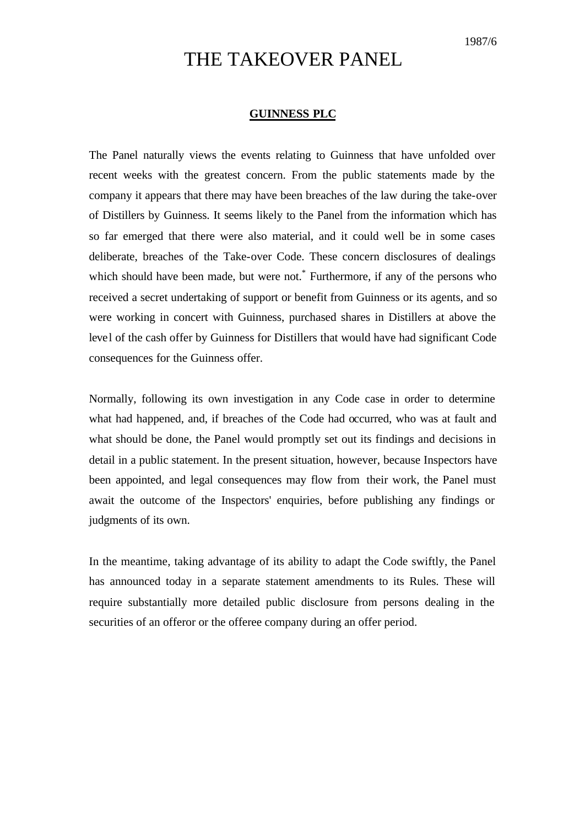## THE TAKEOVER PANEL

## **GUINNESS PLC**

The Panel naturally views the events relating to Guinness that have unfolded over recent weeks with the greatest concern. From the public statements made by the company it appears that there may have been breaches of the law during the take-over of Distillers by Guinness. It seems likely to the Panel from the information which has so far emerged that there were also material, and it could well be in some cases deliberate, breaches of the Take-over Code. These concern disclosures of dealings which should have been made, but were not.<sup>\*</sup> Furthermore, if any of the persons who received a secret undertaking of support or benefit from Guinness or its agents, and so were working in concert with Guinness, purchased shares in Distillers at above the level of the cash offer by Guinness for Distillers that would have had significant Code consequences for the Guinness offer.

Normally, following its own investigation in any Code case in order to determine what had happened, and, if breaches of the Code had occurred, who was at fault and what should be done, the Panel would promptly set out its findings and decisions in detail in a public statement. In the present situation, however, because Inspectors have been appointed, and legal consequences may flow from their work, the Panel must await the outcome of the Inspectors' enquiries, before publishing any findings or judgments of its own.

In the meantime, taking advantage of its ability to adapt the Code swiftly, the Panel has announced today in a separate statement amendments to its Rules. These will require substantially more detailed public disclosure from persons dealing in the securities of an offeror or the offeree company during an offer period.